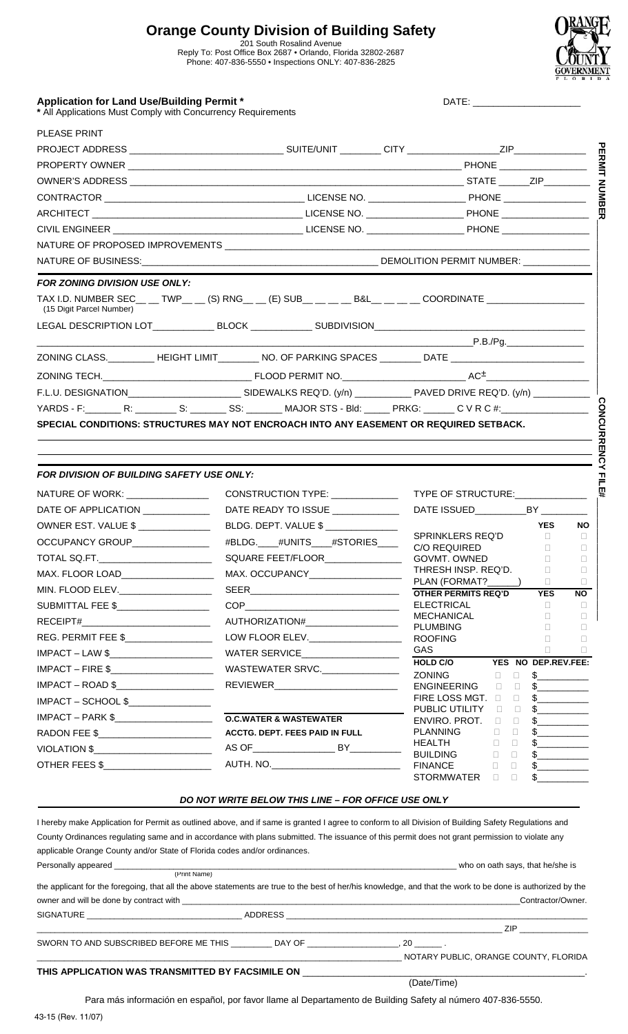# **Orange County Division of Building Safety**

201 South Rosalind Avenue Reply To: Post Office Box 2687 • Orlando, Florida 32802-2687 Phone: 407-836-5550 • Inspections ONLY: 407-836-2825



 $\blacksquare$ 

| <b>Application for Land Use/Building Permit *</b>            | <b>DATE</b> |
|--------------------------------------------------------------|-------------|
| * All Applications Must Comply with Concurrency Requirements |             |

| <b>PLEASE PRINT</b>                                                                                                               |                    |                    |   |
|-----------------------------------------------------------------------------------------------------------------------------------|--------------------|--------------------|---|
|                                                                                                                                   |                    |                    | 品 |
|                                                                                                                                   |                    |                    |   |
|                                                                                                                                   |                    |                    |   |
|                                                                                                                                   |                    |                    |   |
|                                                                                                                                   |                    |                    |   |
|                                                                                                                                   |                    |                    |   |
|                                                                                                                                   |                    |                    |   |
|                                                                                                                                   |                    |                    |   |
| <b>FOR ZONING DIVISION USE ONLY:</b>                                                                                              |                    |                    |   |
| TAX I.D. NUMBER SEC__ __ TWP__ __ (S) RNG_ __ (E) SUB__ __ __ _B&L__ __ __ COORDINATE _______________<br>(15 Digit Parcel Number) |                    |                    |   |
| LEGAL DESCRIPTION LOT_______________BLOCK ______________SUBDIVISION_________________________________                              |                    |                    |   |
|                                                                                                                                   |                    |                    |   |
| ZONING CLASS.___________HEIGHT LIMIT__________NO. OF PARKING SPACES _________ DATE __________________________                     |                    |                    |   |
|                                                                                                                                   |                    |                    |   |
|                                                                                                                                   |                    |                    |   |
| YARDS - F:_________R: __________S: ________ SS: ________ MAJOR STS - Bld: ______ PRKG: _______ C V R C #:__________________       |                    |                    |   |
| SPECIAL CONDITIONS: STRUCTURES MAY NOT ENCROACH INTO ANY EASEMENT OR REQUIRED SETBACK.                                            |                    |                    |   |
|                                                                                                                                   |                    |                    |   |
|                                                                                                                                   |                    |                    |   |
| FOR DIVISION OF BUILDING SAFETY USE ONLY:                                                                                         |                    |                    |   |
| NATURE OF WORK:                                                                                                                   | CONSTRUCTION TYPE: | TYPE OF STRUCTURE: |   |

## *FOR DIVISION OF BUILDING SAFETY USE ONLY:*

| NATURE OF WORK: __________________    | CONSTRUCTION TYPE: _____________      | TYPE OF STRUCTURE:                                                                                        |
|---------------------------------------|---------------------------------------|-----------------------------------------------------------------------------------------------------------|
| DATE OF APPLICATION ____________      | DATE READY TO ISSUE ____________      | DATE ISSUED_______________BY ____________                                                                 |
| OWNER EST. VALUE \$ ______________    | BLDG. DEPT. VALUE \$                  | <b>YES</b><br><b>NO</b>                                                                                   |
| OCCUPANCY GROUP______________         | #BLDG.____#UNITS____#STORIES____      | SPRINKLERS REQ'D<br>$\Box$<br>$\Box$<br>C/O REQUIRED<br>$\Box$<br>$\Box$                                  |
| TOTAL SQ.FT.________________________  | SQUARE FEET/FLOOR_______________      | GOVMT. OWNED<br>$\Box$<br>$\Box$                                                                          |
| MAX. FLOOR LOAD____________________   | MAX. OCCUPANCY__________________      | THRESH INSP. REQ'D.<br>$\Box$<br>$\Box$                                                                   |
| MIN. FLOOD ELEV._____________________ |                                       | PLAN (FORMAT?______)<br>$\Box$<br>$\Box$<br><b>YES</b><br><b>NO</b>                                       |
| SUBMITTAL FEE \$_____________________ |                                       | ELECTRICAL<br>$\Box$<br>$\Box$                                                                            |
|                                       |                                       | MECHANICAL<br>$\Box$<br>$\Box$<br><b>PLUMBING</b><br>$\Box$<br>$\Box$                                     |
|                                       |                                       | $\Box$<br>$\Box$                                                                                          |
|                                       |                                       | GAS <b>SECURE 1999</b><br><b>Experience</b><br>$\Box$                                                     |
|                                       |                                       | HOLD C/O YES NO DEP.REV.FEE:                                                                              |
|                                       |                                       | ZONING D<br>$\Box$ .<br>$\frac{1}{2}$<br>$\frac{1}{2}$<br>ENGINEERING <b>D</b><br>$\Box$                  |
| IMPACT – SCHOOL \$                    |                                       | FIRE LOSS MGT. <b>D</b><br>$\mathbb{S}$<br>$\Box$                                                         |
|                                       |                                       | PUBLIC UTILITY<br>$\frac{1}{2}$<br>$\Box$<br>$\Box$<br>ENVIRO, PROT.                                      |
| RADON FEE \$_________________________ | <b>ACCTG. DEPT. FEES PAID IN FULL</b> | $\frac{1}{2}$<br>$\Box$<br>$\Box$<br>PLANNING<br>$\Box$<br>$\frac{1}{2}$<br>$\Box$                        |
|                                       |                                       | HEALTH<br>$\frac{1}{2}$<br>$\Box$<br>$\Box$                                                               |
| OTHER FEES \$                         |                                       | <b>BUILDING</b><br>$\Box$<br>$\frac{1}{2}$<br>$\Box$<br>$\Box$<br>$\mathbb{S}$ and $\mathbb{S}$<br>$\Box$ |
|                                       |                                       | \$<br>STORMWATER<br>$\Box$<br>$\Box$                                                                      |

#### *DO NOT WRITE BELOW THIS LINE – FOR OFFICE USE ONLY*

I hereby make Application for Permit as outlined above, and if same is granted I agree to conform to all Division of Building Safety Regulations and County Ordinances regulating same and in accordance with plans submitted. The issuance of this permit does not grant permission to violate any applicable Orange County and/or State of Florida codes and/or ordinances. Personally appeared \_\_\_\_\_\_\_\_\_\_\_\_\_\_\_\_\_\_\_\_\_\_\_\_\_\_\_\_\_\_\_\_\_\_\_\_\_\_\_\_\_\_\_\_\_\_\_\_\_\_\_\_\_\_\_\_\_\_\_\_\_\_\_\_\_\_\_\_\_\_\_\_\_\_\_ who on oath says, that he/she is (Print Name) the applicant for the foregoing, that all the above statements are true to the best of her/his knowledge, and that the work to be done is authorized by the owner and will be done by contract with \_\_\_\_\_\_\_\_\_\_\_\_\_\_\_\_\_\_\_\_\_\_\_\_\_\_\_\_\_\_\_\_\_\_\_\_\_\_\_\_\_\_\_\_\_\_\_\_\_\_\_\_\_\_\_\_\_\_\_\_\_\_\_\_\_\_\_\_\_\_\_\_\_\_Contractor/Owner. SIGNATURE \_\_\_\_\_\_\_\_\_\_\_\_\_\_\_\_\_\_\_\_\_\_\_\_\_\_\_\_\_\_\_\_\_\_ ADDRESS \_\_\_\_\_\_\_\_\_\_\_\_\_\_\_\_\_\_\_\_\_\_\_\_\_\_\_\_\_\_\_\_\_\_\_\_\_\_\_\_\_\_\_\_\_\_\_\_\_\_\_\_\_\_\_\_\_\_\_\_\_\_\_\_\_\_ \_\_\_\_\_\_\_\_\_\_\_\_\_\_\_\_\_\_\_\_\_\_\_\_\_\_\_\_\_\_\_\_\_\_\_\_\_\_\_\_\_\_\_\_\_\_\_\_\_\_\_\_\_\_\_\_\_\_\_\_\_\_\_\_\_\_\_\_\_\_\_\_\_\_\_\_\_\_\_\_\_\_\_\_\_\_\_\_\_\_\_\_\_\_\_\_\_\_\_\_\_\_ ZIP \_\_\_\_\_\_\_\_\_\_\_\_\_\_\_ SWORN TO AND SUBSCRIBED BEFORE ME THIS \_\_\_\_\_\_\_\_\_\_ DAY OF \_\_\_\_\_\_\_\_\_\_\_\_\_\_\_\_\_\_\_, 20 \_\_\_\_\_\_\_. \_\_\_\_\_\_\_\_\_\_\_\_\_\_\_\_\_\_\_\_\_\_\_\_\_\_\_\_\_\_\_\_\_\_\_\_\_\_\_\_\_\_\_\_\_\_\_\_\_\_\_\_\_\_\_\_\_\_\_\_\_\_\_\_\_\_\_\_\_\_\_\_\_\_\_\_\_\_\_\_ NOTARY PUBLIC, ORANGE COUNTY, FLORIDA THIS APPLICATION WAS TRANSMITTED BY FACSIMILE ON \_ (Date/Time)

Para más información en español, por favor llame al Departamento de Building Safety al número 407-836-5550.